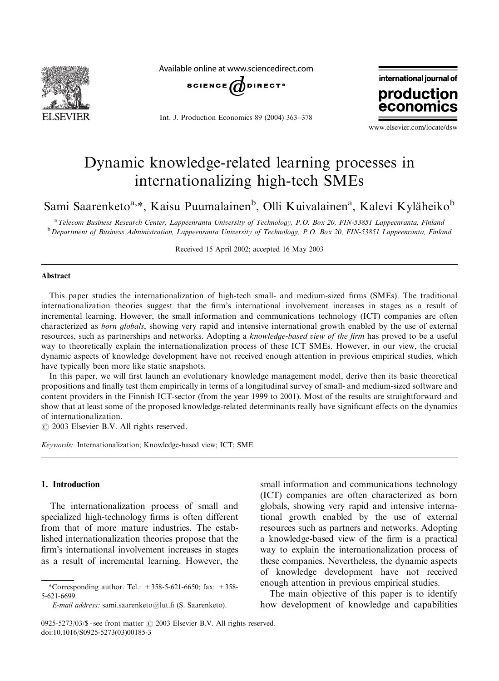

Available online at www.sciencedirect.com



Int. J. Production Economics 89 (2004) 363–378



www.elsevier.com/locate/dsw

## Dynamic knowledge-related learning processes in internationalizing high-tech SMEs

Sami Saarenketo<sup>a,\*</sup>, Kaisu Puumalainen<sup>b</sup>, Olli Kuivalainen<sup>a</sup>, Kalevi Kyläheiko<sup>b</sup>

a Telecom Business Research Center, Lappeenranta University of Technology, P.O. Box 20, FIN-53851 Lappeenranta, Finland <sup>b</sup> Department of Business Administration, Lappeenranta University of Technology, P.O. Box 20, FIN-53851 Lappeenranta, Finland

Received 15 April2002; accepted 16 May 2003

#### Abstract

This paper studies the internationalization of high-tech small- and medium-sized firms (SMEs). The traditional internationalization theories suggest that the firm's international involvement increases in stages as a result of incremental learning. However, the small information and communications technology (ICT) companies are often characterized as *born globals*, showing very rapid and intensive international growth enabled by the use of external resources, such as partnerships and networks. Adopting a knowledge-based view of the firm has proved to be a useful way to theoretically explain the internationalization process of these ICT SMEs. However, in our view, the crucial dynamic aspects of knowledge development have not received enough attention in previous empirical studies, which have typically been more like static snapshots.

In this paper, we will first launch an evolutionary knowledge management model, derive then its basic theoretical propositions and finally test them empirically in terms of a longitudinal survey of small- and medium-sized software and content providers in the Finnish ICT-sector (from the year 1999 to 2001). Most of the results are straightforward and show that at least some of the proposed knowledge-related determinants really have significant effects on the dynamics of internationalization.

 $\odot$  2003 Elsevier B.V. All rights reserved.

Keywords: Internationalization; Knowledge-based view; ICT; SME

## 1. Introduction

The internationalization process of small and specialized high-technology firms is often different from that of more mature industries. The established internationalization theories propose that the firm's international involvement increases in stages as a result of incremental learning. However, the

small information and communications technology (ICT) companies are often characterized as born globals, showing very rapid and intensive international growth enabled by the use of external resources such as partners and networks. Adopting a knowledge-based view of the firm is a practical way to explain the internationalization process of these companies. Nevertheless, the dynamic aspects of knowledge development have not received enough attention in previous empirical studies.

The main objective of this paper is to identify how development of knowledge and capabilities

<sup>\*</sup>Corresponding author. Tel.:  $+358-5-621-6650$ ; fax:  $+358-$ 5-621-6699.

E-mail address: sami.saarenketo@lut.fi (S. Saarenketo).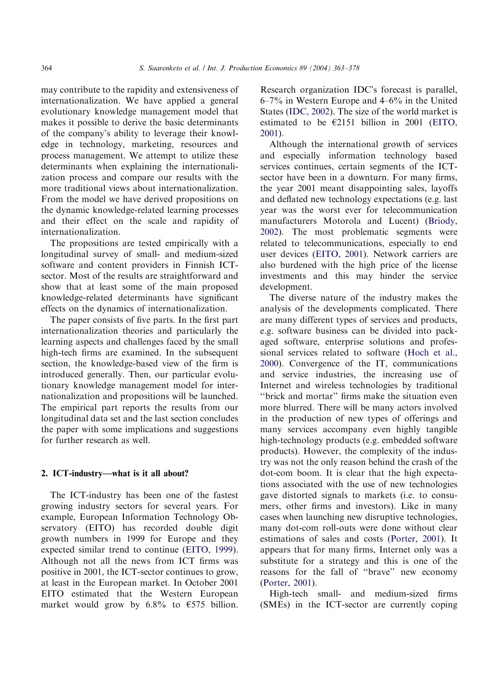may contribute to the rapidity and extensiveness of internationalization. We have applied a general evolutionary knowledge management model that makes it possible to derive the basic determinants of the company's ability to leverage their knowledge in technology, marketing, resources and process management. We attempt to utilize these determinants when explaining the internationalization process and compare our results with the more traditional views about internationalization. From the model we have derived propositions on the dynamic knowledge-related learning processes and their effect on the scale and rapidity of internationalization.

The propositions are tested empirically with a longitudinal survey of small- and medium-sized software and content providers in Finnish ICTsector. Most of the results are straightforward and show that at least some of the main proposed knowledge-related determinants have significant effects on the dynamics of internationalization.

The paper consists of five parts. In the first part internationalization theories and particularly the learning aspects and challenges faced by the small high-tech firms are examined. In the subsequent section, the knowledge-based view of the firm is introduced generally. Then, our particular evolutionary knowledge management model for internationalization and propositions will be launched. The empirical part reports the results from our longitudinal data set and the last section concludes the paper with some implications and suggestions for further research as well.

### 2. ICT-industry—what is it all about?

The ICT-industry has been one of the fastest growing industry sectors for several years. For example, European Information Technology Observatory (EITO) has recorded double digit growth numbers in 1999 for Europe and they expected similar trend to continue [\(EITO, 1999\)](#page--1-0). Although not all the news from ICT firms was positive in 2001, the ICT-sector continues to grow, at least in the European market. In October 2001 EITO estimated that the Western European market would grow by 6.8% to  $\epsilon$ 575 billion.

Research organization IDC's forecast is parallel, 6–7% in Western Europe and 4–6% in the United States [\(IDC, 2002\)](#page--1-0). The size of the world market is estimated to be  $E2151$  billion in 2001 ([EITO,](#page--1-0) [2001\)](#page--1-0).

Although the international growth of services and especially information technology based services continues, certain segments of the ICTsector have been in a downturn. For many firms, the year 2001 meant disappointing sales, layoffs and deflated new technology expectations (e.g. last year was the worst ever for telecommunication manufacturers Motorola and Lucent) [\(Briody,](#page--1-0) [2002\)](#page--1-0). The most problematic segments were related to telecommunications, especially to end user devices [\(EITO, 2001](#page--1-0)). Network carriers are also burdened with the high price of the license investments and this may hinder the service development.

The diverse nature of the industry makes the analysis of the developments complicated. There are many different types of services and products, e.g. software business can be divided into packaged software, enterprise solutions and profes-sional services related to software ([Hoch et al.,](#page--1-0) [2000\)](#page--1-0). Convergence of the IT, communications and service industries, the increasing use of Internet and wireless technologies by traditional ''brick and mortar'' firms make the situation even more blurred. There will be many actors involved in the production of new types of offerings and many services accompany even highly tangible high-technology products (e.g. embedded software products). However, the complexity of the industry was not the only reason behind the crash of the dot-com boom. It is clear that the high expectations associated with the use of new technologies gave distorted signals to markets (i.e. to consumers, other firms and investors). Like in many cases when launching new disruptive technologies, many dot-com roll-outs were done without clear estimations of sales and costs [\(Porter, 2001\)](#page--1-0). It appears that for many firms, Internet only was a substitute for a strategy and this is one of the reasons for the fall of ''brave'' new economy [\(Porter, 2001](#page--1-0)).

High-tech small- and medium-sized firms (SMEs) in the ICT-sector are currently coping